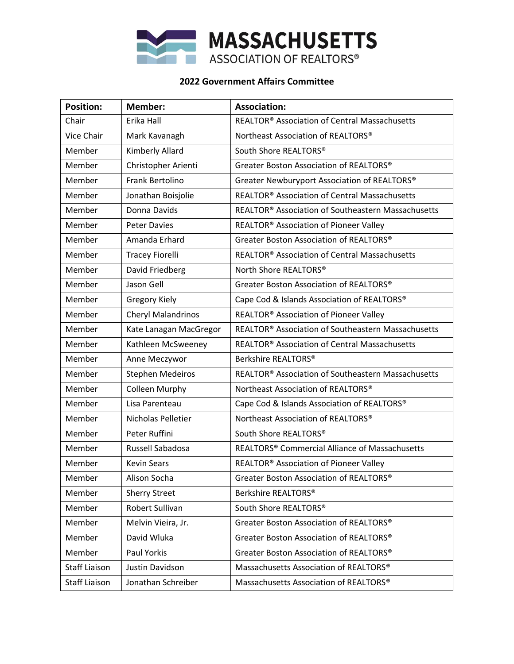

## **2022 Government Affairs Committee**

| <b>Position:</b>     | <b>Member:</b>            | <b>Association:</b>                                            |
|----------------------|---------------------------|----------------------------------------------------------------|
| Chair                | Erika Hall                | REALTOR <sup>®</sup> Association of Central Massachusetts      |
| Vice Chair           | Mark Kavanagh             | Northeast Association of REALTORS®                             |
| Member               | Kimberly Allard           | South Shore REALTORS®                                          |
| Member               | Christopher Arienti       | Greater Boston Association of REALTORS®                        |
| Member               | Frank Bertolino           | Greater Newburyport Association of REALTORS®                   |
| Member               | Jonathan Boisjolie        | REALTOR <sup>®</sup> Association of Central Massachusetts      |
| Member               | Donna Davids              | REALTOR <sup>®</sup> Association of Southeastern Massachusetts |
| Member               | <b>Peter Davies</b>       | REALTOR® Association of Pioneer Valley                         |
| Member               | Amanda Erhard             | Greater Boston Association of REALTORS®                        |
| Member               | <b>Tracey Fiorelli</b>    | REALTOR <sup>®</sup> Association of Central Massachusetts      |
| Member               | David Friedberg           | North Shore REALTORS®                                          |
| Member               | Jason Gell                | Greater Boston Association of REALTORS®                        |
| Member               | <b>Gregory Kiely</b>      | Cape Cod & Islands Association of REALTORS®                    |
| Member               | <b>Cheryl Malandrinos</b> | REALTOR <sup>®</sup> Association of Pioneer Valley             |
| Member               | Kate Lanagan MacGregor    | REALTOR <sup>®</sup> Association of Southeastern Massachusetts |
| Member               | Kathleen McSweeney        | REALTOR <sup>®</sup> Association of Central Massachusetts      |
| Member               | Anne Meczywor             | Berkshire REALTORS®                                            |
| Member               | <b>Stephen Medeiros</b>   | REALTOR® Association of Southeastern Massachusetts             |
| Member               | <b>Colleen Murphy</b>     | Northeast Association of REALTORS®                             |
| Member               | Lisa Parenteau            | Cape Cod & Islands Association of REALTORS®                    |
| Member               | Nicholas Pelletier        | Northeast Association of REALTORS®                             |
| Member               | Peter Ruffini             | South Shore REALTORS®                                          |
| Member               | Russell Sabadosa          | REALTORS <sup>®</sup> Commercial Alliance of Massachusetts     |
| Member               | <b>Kevin Sears</b>        | REALTOR® Association of Pioneer Valley                         |
| Member               | Alison Socha              | Greater Boston Association of REALTORS®                        |
| Member               | <b>Sherry Street</b>      | Berkshire REALTORS®                                            |
| Member               | Robert Sullivan           | South Shore REALTORS®                                          |
| Member               | Melvin Vieira, Jr.        | Greater Boston Association of REALTORS®                        |
| Member               | David Wluka               | Greater Boston Association of REALTORS®                        |
| Member               | Paul Yorkis               | Greater Boston Association of REALTORS®                        |
| <b>Staff Liaison</b> | Justin Davidson           | Massachusetts Association of REALTORS®                         |
| <b>Staff Liaison</b> | Jonathan Schreiber        | Massachusetts Association of REALTORS®                         |